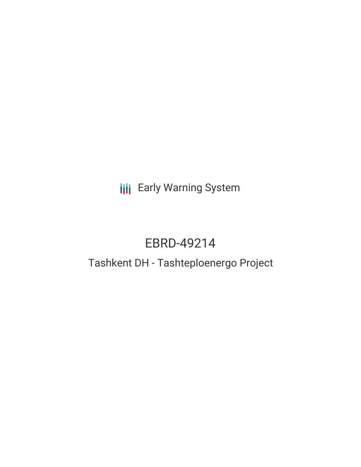**III** Early Warning System

# EBRD-49214

## Tashkent DH - Tashteploenergo Project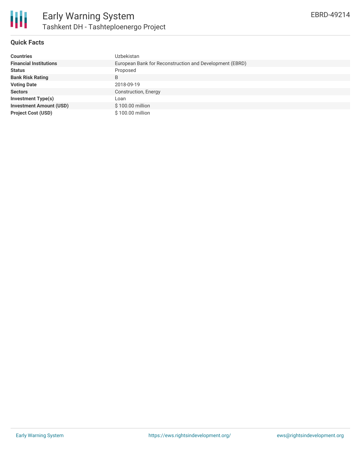

#### **Quick Facts**

| <b>Countries</b>               | Uzbekistan                                              |
|--------------------------------|---------------------------------------------------------|
| <b>Financial Institutions</b>  | European Bank for Reconstruction and Development (EBRD) |
| <b>Status</b>                  | Proposed                                                |
| <b>Bank Risk Rating</b>        | B                                                       |
| <b>Voting Date</b>             | 2018-09-19                                              |
| <b>Sectors</b>                 | Construction, Energy                                    |
| <b>Investment Type(s)</b>      | Loan                                                    |
| <b>Investment Amount (USD)</b> | \$100.00 million                                        |
| <b>Project Cost (USD)</b>      | \$100.00 million                                        |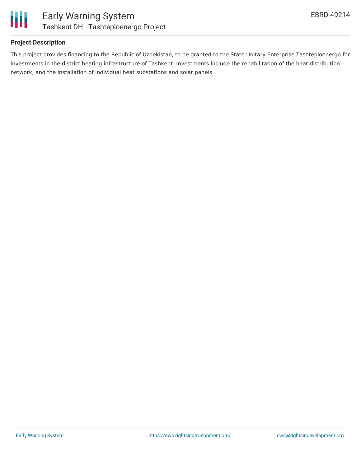

#### **Project Description**

This project provides financing to the Republic of Uzbekistan, to be granted to the State Unitary Enterprise Tashteploenergo for investments in the district heating infrastructure of Tashkent. Investments include the rehabilitation of the heat distribution network, and the installation of individual heat substations and solar panels.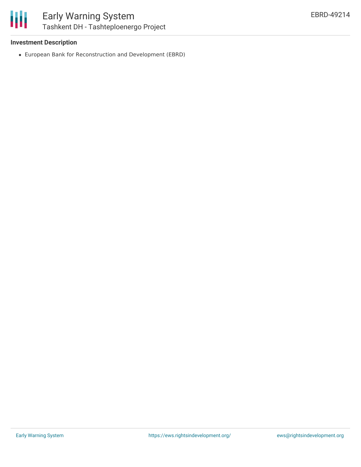#### **Investment Description**

European Bank for Reconstruction and Development (EBRD)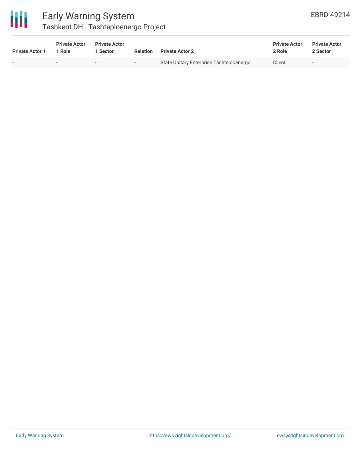

### Early Warning System Tashkent DH - Tashteploenergo Project

| <b>Private Actor 1</b> | <b>Private Actor</b><br>1 Role | <b>Private Actor</b><br>l Sector | <b>Relation</b>          | <b>Private Actor 2</b>                   | <b>Private Actor</b><br>2 Role | <b>Private Actor</b><br>2 Sector |  |
|------------------------|--------------------------------|----------------------------------|--------------------------|------------------------------------------|--------------------------------|----------------------------------|--|
|                        | $\sim$                         |                                  | $\overline{\phantom{a}}$ | State Unitary Enterprise Tashteploenergo | Client                         | $\overline{\phantom{a}}$         |  |